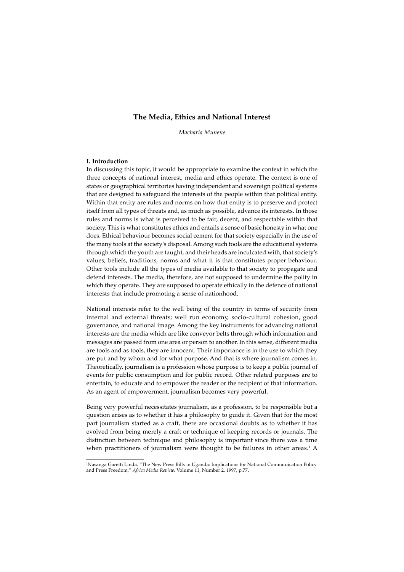# **The Media, Ethics and National Interest**

*Macharia Munene*

## **I. Introduction**

In discussing this topic, it would be appropriate to examine the context in which the three concepts of national interest, media and ethics operate. The context is one of states or geographical territories having independent and sovereign political systems that are designed to safeguard the interests of the people within that political entity. Within that entity are rules and norms on how that entity is to preserve and protect itself from all types of threats and, as much as possible, advance its interests. In those rules and norms is what is perceived to be fair, decent, and respectable within that society. This is what constitutes ethics and entails a sense of basic honesty in what one does. Ethical behaviour becomes social cement for that society especially in the use of the many tools at the society's disposal. Among such tools are the educational systems through which the youth are taught, and their heads are inculcated with, that society's values, beliefs, traditions, norms and what it is that constitutes proper behaviour. Other tools include all the types of media available to that society to propagate and defend interests. The media, therefore, are not supposed to undermine the polity in which they operate. They are supposed to operate ethically in the defence of national interests that include promoting a sense of nationhood.

National interests refer to the well being of the country in terms of security from internal and external threats; well run economy, socio-cultural cohesion, good governance, and national image. Among the key instruments for advancing national interests are the media which are like conveyor belts through which information and messages are passed from one area or person to another. In this sense, different media are tools and as tools, they are innocent. Their importance is in the use to which they are put and by whom and for what purpose. And that is where journalism comes in. Theoretically, journalism is a profession whose purpose is to keep a public journal of events for public consumption and for public record. Other related purposes are to entertain, to educate and to empower the reader or the recipient of that information. As an agent of empowerment, journalism becomes very powerful.

Being very powerful necessitates journalism, as a profession, to be responsible but a question arises as to whether it has a philosophy to guide it. Given that for the most part journalism started as a craft, there are occasional doubts as to whether it has evolved from being merely a craft or technique of keeping records or journals. The distinction between technique and philosophy is important since there was a time when practitioners of journalism were thought to be failures in other areas.<sup>1</sup> A

<sup>1</sup> Nasanga Garetti Linda, "The New Press Bills in Uganda: Implications for National Communication Policy and Press Freedom," *Africa Media Review,* Volume 11, Number 2, 1997, p.77.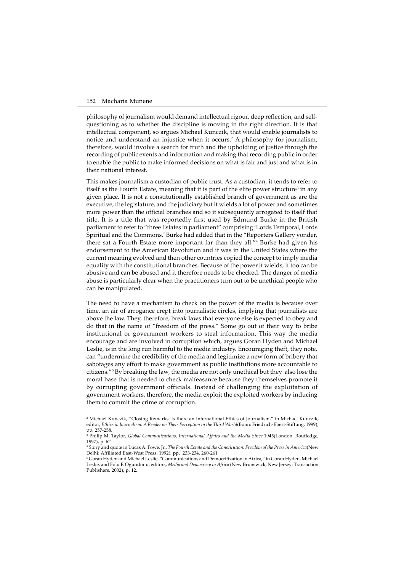philosophy of journalism would demand intellectual rigour, deep reflection, and selfquestioning as to whether the discipline is moving in the right direction. It is that intellectual component, so argues Michael Kunczik, that would enable journalists to notice and understand an injustice when it occurs.2 A philosophy for journalism, therefore, would involve a search for truth and the upholding of justice through the recording of public events and information and making that recording public in order to enable the public to make informed decisions on what is fair and just and what is in their national interest.

This makes journalism a custodian of public trust. As a custodian, it tends to refer to itself as the Fourth Estate, meaning that it is part of the elite power structure<sup>3</sup> in any given place. It is not a constitutionally established branch of government as are the executive, the legislature, and the judiciary but it wields a lot of power and sometimes more power than the official branches and so it subsequently arrogated to itself that title. It is a title that was reportedly first used by Edmund Burke in the British parliament to refer to "three Estates in parliament" comprising 'Lords Temporal, Lords Spiritual and the Commons.' Burke had added that in the "Reporters Gallery yonder, there sat a Fourth Estate more important far than they all."4 Burke had given his endorsement to the American Revolution and it was in the United States where the current meaning evolved and then other countries copied the concept to imply media equality with the constitutional branches. Because of the power it wields, it too can be abusive and can be abused and it therefore needs to be checked. The danger of media abuse is particularly clear when the practitioners turn out to be unethical people who can be manipulated.

The need to have a mechanism to check on the power of the media is because over time, an air of arrogance crept into journalistic circles, implying that journalists are above the law. They, therefore, break laws that everyone else is expected to obey and do that in the name of "freedom of the press." Some go out of their way to bribe institutional or government workers to steal information. This way the media encourage and are involved in corruption which, argues Goran Hyden and Michael Leslie, is in the long run harmful to the media industry. Encouraging theft, they note, can "undermine the credibility of the media and legitimize a new form of bribery that sabotages any effort to make government as public institutions more accountable to citizens."<sup>5</sup> By breaking the law, the media are not only unethical but they also lose the moral base that is needed to check malfeasance because they themselves promote it by corrupting government officials. Instead of challenging the exploitation of government workers, therefore, the media exploit the exploited workers by inducing them to commit the crime of corruption.

<sup>2</sup> Michael Kunczik, "Closing Remarks: Is there an International Ethics of Journalism," in Michael Kunczik, editor, *Ethics in Journalism: A Reader on Their Perception in the Third World*(Bonn: Friedrich-Ebert-Stiftung, 1999), pp. 257-258

pp. 257-258.<br><sup>3</sup> Philip M. Taylor, *Global Communications, International Affairs and the Media Since* 1945(London: Routledge*,* 1997), p. 62

<sup>4</sup> Story and quote in Lucas A. Powe, Jr., *The Fourth Estate and the Constitution: Freedom of the Press in America*(New Delhi: Affiliated East-West Press, 1992), pp. 233-234, 260-261

<sup>5</sup> Goran Hyden and Michael Leslie, "Communications and Democritization in Africa," in Goran Hyden, Michael Leslie, and Folu F. Ogundimu, editors, *Media and Democracy in Africa* (New Brunswick, New Jersey: Transaction Publishers, 2002), p. 12.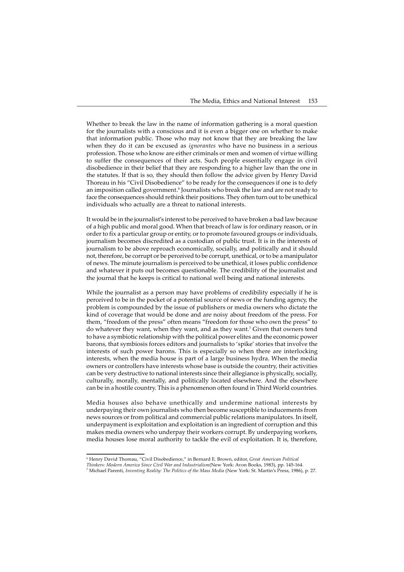Whether to break the law in the name of information gathering is a moral question for the journalists with a conscious and it is even a bigger one on whether to make that information public. Those who may not know that they are breaking the law when they do it can be excused as *ignorantes* who have no business in a serious profession. Those who know are either criminals or men and women of virtue willing to suffer the consequences of their acts. Such people essentially engage in civil disobedience in their belief that they are responding to a higher law than the one in the statutes. If that is so, they should then follow the advice given by Henry David Thoreau in his "Civil Disobedience" to be ready for the consequences if one is to defy an imposition called government.<sup>6</sup> Journalists who break the law and are not ready to face the consequences should rethink their positions. They often turn out to be unethical individuals who actually are a threat to national interests.

It would be in the journalist's interest to be perceived to have broken a bad law because of a high public and moral good. When that breach of law is for ordinary reason, or in order to fix a particular group or entity, or to promote favoured groups or individuals, journalism becomes discredited as a custodian of public trust. It is in the interests of journalism to be above reproach economically, socially, and politically and it should not, therefore, be corrupt or be perceived to be corrupt, unethical, or to be a manipulator of news. The minute journalism is perceived to be unethical, it loses public confidence and whatever it puts out becomes questionable. The credibility of the journalist and the journal that he keeps is critical to national well being and national interests.

While the journalist as a person may have problems of credibility especially if he is perceived to be in the pocket of a potential source of news or the funding agency, the problem is compounded by the issue of publishers or media owners who dictate the kind of coverage that would be done and are noisy about freedom of the press. For them, "freedom of the press" often means "freedom for those who own the press" to do whatever they want, when they want, and as they want.<sup>7</sup> Given that owners tend to have a symbiotic relationship with the political power elites and the economic power barons, that symbiosis forces editors and journalists to 'spike' stories that involve the interests of such power barons. This is especially so when there are interlocking interests, when the media house is part of a large business hydra. When the media owners or controllers have interests whose base is outside the country, their activities can be very destructive to national interests since their allegiance is physically, socially, culturally, morally, mentally, and politically located elsewhere. And the elsewhere can be in a hostile country. This is a phenomenon often found in Third World countries.

Media houses also behave unethically and undermine national interests by underpaying their own journalists who then become susceptible to inducements from news sources or from political and commercial public relations manipulators. In itself, underpayment is exploitation and exploitation is an ingredient of corruption and this makes media owners who underpay their workers corrupt. By underpaying workers, media houses lose moral authority to tackle the evil of exploitation. It is, therefore,

<sup>6</sup> Henry David Thoreau, "Civil Disobedience," in Bernard E. Brown, editor, *Great American Political*

*Thinkers: Modern America Since Civil War and Industrialism*(New York: Avon Books, 1983), pp. 145-164.

<sup>7</sup> Michael Parenti, *Inventing Reality: The Politics of the Mass Media* (New York: St. Martin's Press, 1986), p. 27.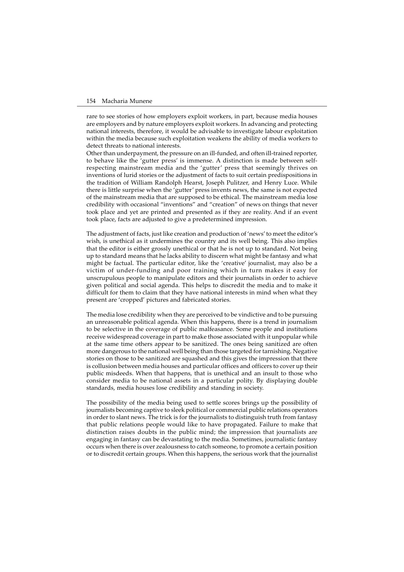rare to see stories of how employers exploit workers, in part, because media houses are employers and by nature employers exploit workers. In advancing and protecting national interests, therefore, it would be advisable to investigate labour exploitation within the media because such exploitation weakens the ability of media workers to detect threats to national interests.

Other than underpayment, the pressure on an ill-funded, and often ill-trained reporter, to behave like the 'gutter press' is immense. A distinction is made between selfrespecting mainstream media and the 'gutter' press that seemingly thrives on inventions of lurid stories or the adjustment of facts to suit certain predispositions in the tradition of William Randolph Hearst, Joseph Pulitzer, and Henry Luce. While there is little surprise when the 'gutter' press invents news, the same is not expected of the mainstream media that are supposed to be ethical. The mainstream media lose credibility with occasional "inventions" and "creation" of news on things that never took place and yet are printed and presented as if they are reality. And if an event took place, facts are adjusted to give a predetermined impression.

The adjustment of facts, just like creation and production of 'news' to meet the editor's wish, is unethical as it undermines the country and its well being. This also implies that the editor is either grossly unethical or that he is not up to standard. Not being up to standard means that he lacks ability to discern what might be fantasy and what might be factual. The particular editor, like the 'creative' journalist, may also be a victim of under-funding and poor training which in turn makes it easy for unscrupulous people to manipulate editors and their journalists in order to achieve given political and social agenda. This helps to discredit the media and to make it difficult for them to claim that they have national interests in mind when what they present are 'cropped' pictures and fabricated stories.

The media lose credibility when they are perceived to be vindictive and to be pursuing an unreasonable political agenda. When this happens, there is a trend in journalism to be selective in the coverage of public malfeasance. Some people and institutions receive widespread coverage in part to make those associated with it unpopular while at the same time others appear to be sanitized. The ones being sanitized are often more dangerous to the national well being than those targeted for tarnishing. Negative stories on those to be sanitized are squashed and this gives the impression that there is collusion between media houses and particular offices and officers to cover up their public misdeeds. When that happens, that is unethical and an insult to those who consider media to be national assets in a particular polity. By displaying double standards, media houses lose credibility and standing in society.

The possibility of the media being used to settle scores brings up the possibility of journalists becoming captive to sleek political or commercial public relations operators in order to slant news. The trick is for the journalists to distinguish truth from fantasy that public relations people would like to have propagated. Failure to make that distinction raises doubts in the public mind; the impression that journalists are engaging in fantasy can be devastating to the media. Sometimes, journalistic fantasy occurs when there is over zealousness to catch someone, to promote a certain position or to discredit certain groups. When this happens, the serious work that the journalist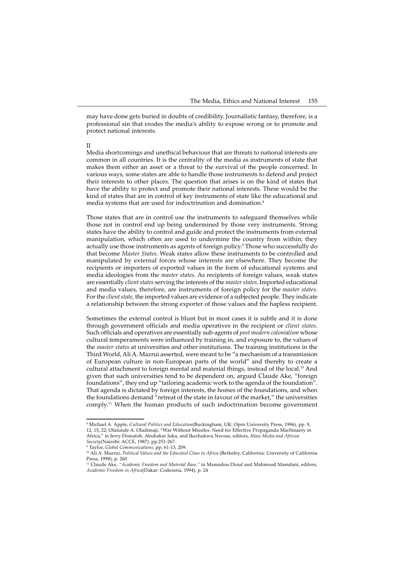may have done gets buried in doubts of credibility. Journalistic fantasy, therefore, is a professional sin that erodes the media's ability to expose wrong or to promote and protect national interests.

Media shortcomings and unethical behaviour that are threats to national interests are common in all countries. It is the centrality of the media as instruments of state that makes them either an asset or a threat to the survival of the people concerned. In various ways, some states are able to handle those instruments to defend and project their interests to other places. The question that arises is on the kind of states that have the ability to protect and promote their national interests. These would be the kind of states that are in control of key instruments of state like the educational and media systems that are used for indoctrination and domination.8

Those states that are in control use the instruments to safeguard themselves while those not in control end up being undermined by those very instruments. Strong states have the ability to control and guide and protect the instruments from external manipulation, which often are used to undermine the country from within; they actually use those instruments as agents of foreign policy.9 Those who successfully do that become *Master States.* Weak states allow these instruments to be controlled and manipulated by external forces whose interests are elsewhere. They become the recipients or importers of exported values in the form of educational systems and media ideologies from the *master states*. As recipients of foreign values, weak states are essentially *client states* serving the interests of the *master states*. Imported educational and media values, therefore, are instruments of foreign policy for the *master states*. For the *client state,* the imported values are evidence of a subjected people. They indicate a relationship between the strong exporter of those values and the hapless recipient.

Sometimes the external control is blunt but in most cases it is subtle and it is done through government officials and media operatives in the recipient or *client states*. Such officials and operatives are essentially sub-agents of *post modern colonialism* whose cultural temperaments were influenced by training in, and exposure to, the values of the *master states* at universities and other institutions. The training institutions in the Third World, Ali A. Mazrui asserted, were meant to be "a mechanism of a transmission of European culture in non-European parts of the world" and thereby to create a cultural attachment to foreign mental and material things, instead of the local.<sup>10</sup> And given that such universities tend to be dependent on, argued Claude Ake, "foreign foundations", they end up "tailoring academic work to the agenda of the foundation". That agenda is dictated by foreign interests, the homes of the foundations, and when the foundations demand "retreat of the state in favour of the market," the universities comply.<sup>11</sup> When the human products of such indoctrination become government

II

<sup>8</sup> Michael A. Apple, *Cultural Politics and Education*(Buckingham, UK: Oprn University Press, 1996), pp. 9, 12, 15, 22; Olatunde A. Oladimaji, "War Without Missiles: Need for Effective Propaganda Machinaery in Africa," in Jerry Domatob, Abubakar Juka, and Ikechukwu Nwosu, editors, *Mass Media and African Society*(Nairobi: ACCE, 1987), pp.251-267.

<sup>9</sup> Taylor, *Global Communications,* pp. 61-13, 209.

<sup>&</sup>lt;sup>10</sup> Ali A. Mazrui, *Political Values and the Educated Class in Africa* (Berkeley, California: University of California Press, 1998), p. 260

<sup>11</sup> Claude Ake, *"Academic Freedom and Material Base,"* in Mamadou Diouf and Mahmood Mamdani, editors, *Academic Freedom in Africa*(Dakar: Codessria, 1994), p. 24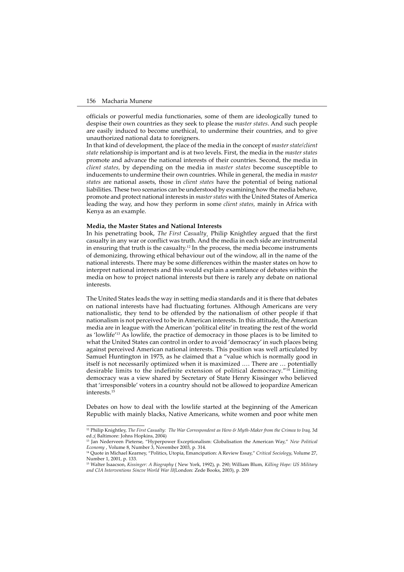officials or powerful media functionaries, some of them are ideologically tuned to despise their own countries as they seek to please the *master states*. And such people are easily induced to become unethical, to undermine their countries, and to give unauthorized national data to foreigners.

In that kind of development, the place of the media in the concept of *master state/client state* relationship is important and is at two levels. First, the media in the *master states* promote and advance the national interests of their countries. Second, the media in *client states,* by depending on the media in *master states* become susceptible to inducements to undermine their own countries. While in general, the media in *master states* are national assets, those in *client states* have the potential of being national liabilities. These two scenarios can be understood by examining how the media behave, promote and protect national interests in *master states* with the United States of America leading the way, and how they perform in some *client states,* mainly in Africa with Kenya as an example.

#### **Media, the Master States and National Interests**

In his penetrating book, *The First Casualty¸* Philip Knightley argued that the first casualty in any war or conflict was truth. And the media in each side are instrumental in ensuring that truth is the casualty.<sup>12</sup> In the process, the media become instruments of demonizing, throwing ethical behaviour out of the window, all in the name of the national interests. There may be some differences within the master states on how to interpret national interests and this would explain a semblance of debates within the media on how to project national interests but there is rarely any debate on national interests.

The United States leads the way in setting media standards and it is there that debates on national interests have had fluctuating fortunes. Although Americans are very nationalistic, they tend to be offended by the nationalism of other people if that nationalism is not perceived to be in American interests. In this attitude, the American media are in league with the American 'political elite' in treating the rest of the world as 'lowlife'13 As lowlife, the practice of democracy in those places is to be limited to what the United States can control in order to avoid 'democracy' in such places being against perceived American national interests. This position was well articulated by Samuel Huntington in 1975, as he claimed that a "value which is normally good in itself is not necessarily optimized when it is maximized .… There are … potentially desirable limits to the indefinite extension of political democracy."14 Limiting democracy was a view shared by Secretary of State Henry Kissinger who believed that 'irresponsible' voters in a country should not be allowed to jeopardize American interests.15

Debates on how to deal with the lowlife started at the beginning of the American Republic with mainly blacks, Native Americans, white women and poor white men

<sup>&</sup>lt;sup>12</sup> Philip Knightley, *The First Casualty: The War Correspondent as Hero & Myth-Maker from the Crimea to Iraq, 3d* ed.;( Baltimore: Johns Hopkins, 2004)

<sup>13</sup> Jan Nederveen Pieterse, "Hyperpower Exceptionalism: Globalisation the American Way," *New Political Economy* , Volume 8, Number 3, November 2003, p. 314.

<sup>14</sup> Quote in Michael Kearney, "Politics, Utopia, Emancipation: A Review Essay," *Critical Sociology*, Volume 27, Number 1, 2001, p. 133.

<sup>15</sup> Walter Isaacson, *Kissinger: A Biography* ( New York, 1992), p. 290; William Blum, *Killing Hope: US Military and CIA Interventions Sincve World War II*(London: Zede Books, 2003), p. 209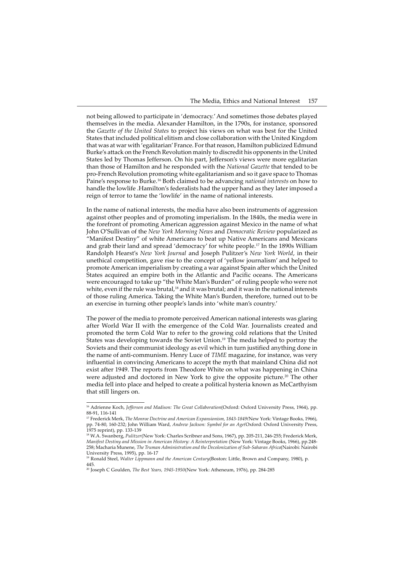not being allowed to participate in 'democracy.' And sometimes those debates played themselves in the media. Alexander Hamilton, in the 1790s, for instance, sponsored the *Gazette of the United States* to project his views on what was best for the United States that included political elitism and close collaboration with the United Kingdom that was at war with 'egalitarian' France. For that reason, Hamilton publicized Edmund Burke's attack on the French Revolution mainly to discredit his opponents in the United States led by Thomas Jefferson. On his part, Jefferson's views were more egalitarian than those of Hamilton and he responded with the *National Gazette* that tended to be pro-French Revolution promoting white egalitarianism and so it gave space to Thomas Paine's response to Burke.16 Both claimed to be advancing *national interests* on how to handle the lowlife .Hamilton's federalists had the upper hand as they later imposed a reign of terror to tame the 'lowlife' in the name of national interests.

In the name of national interests, the media have also been instruments of aggression against other peoples and of promoting imperialism. In the 1840s, the media were in the forefront of promoting American aggression against Mexico in the name of what John O'Sullivan of the *New York Morning News* and *Democratic Review* popularized as "Manifest Destiny" of white Americans to beat up Native Americans and Mexicans and grab their land and spread 'democracy' for white people.17 In the 1890s William Randolph Hearst's *New York Journal* and Joseph Pulitzer's *New York World*, in their unethical competition, gave rise to the concept of 'yellow journalism' and helped to promote American imperialism by creating a war against Spain after which the United States acquired an empire both in the Atlantic and Pacific oceans. The Americans were encouraged to take up "the White Man's Burden" of ruling people who were not white, even if the rule was brutal,<sup>18</sup> and it was brutal; and it was in the national interests of those ruling America. Taking the White Man's Burden, therefore, turned out to be an exercise in turning other people's lands into 'white man's country.'

The power of the media to promote perceived American national interests was glaring after World War II with the emergence of the Cold War. Journalists created and promoted the term Cold War to refer to the growing cold relations that the United States was developing towards the Soviet Union.19 The media helped to portray the Soviets and their communist ideology as evil which in turn justified anything done in the name of anti-communism. Henry Luce of *TIME* magazine, for instance, was very influential in convincing Americans to accept the myth that mainland China did not exist after 1949. The reports from Theodore White on what was happening in China were adjusted and doctored in New York to give the opposite picture.<sup>20</sup> The other media fell into place and helped to create a political hysteria known as McCarthyism that still lingers on.

<sup>&</sup>lt;sup>16</sup> Adrienne Koch, *Jefferson and Madison: The Great Collaboration*(Oxford: Oxford University Press, 1964), pp. 88-91, 116-141

<sup>17</sup> Frederick Merk, *The Monroe Doctrine and American Expansionism, 1843-1849(*New York: Vintage Books, 1966), pp. 74-80, 160-232; John William Ward, *Andrew Jackson: Symbol for an Age(*Oxford: Oxford University Press, 1975 reprint), pp. 133-139

<sup>18</sup> W.A. Swanberg, *Pulitzer*(New York: Charles Scribner and Sons, 1967), pp. 205-211, 246-255; Frederick Merk, *Manifest Destiny and Mission in American History: A Reinterpretation* (New York: Vintage Books, 1966), pp.248- 258; Macharia Munene, *The Truman Administration and the Decolonization of Sub-Saharan Africa*(Nairobi: Nairobi University Press, 1995), pp. 16-17

<sup>19</sup> Ronald Steel, *Walter Lippmann and the American Century*(Boston: Little, Brown and Company, 1980), p. 445.

<sup>20</sup> Joseph C Goulden, *The Best Years, 1945-1950*(New York: Atheneum, 1976), pp. 284-285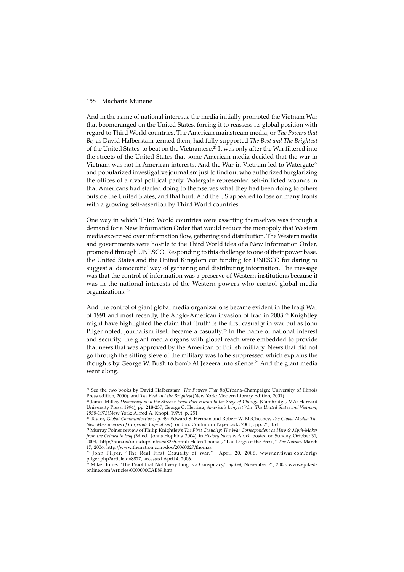And in the name of national interests, the media initially promoted the Vietnam War that boomeranged on the United States, forcing it to reassess its global position with regard to Third World countries. The American mainstream media, or *The Powers that Be,* as David Halberstam termed them, had fully supported *The Best and The Brightest* of the United States to beat on the Vietnamese.21 It was only after the War filtered into the streets of the United States that some American media decided that the war in Vietnam was not in American interests. And the War in Vietnam led to Watergate<sup>22</sup> and popularized investigative journalism just to find out who authorized burglarizing the offices of a rival political party. Watergate represented self-inflicted wounds in that Americans had started doing to themselves what they had been doing to others outside the United States, and that hurt. And the US appeared to lose on many fronts with a growing self-assertion by Third World countries.

One way in which Third World countries were asserting themselves was through a demand for a New Information Order that would reduce the monopoly that Western media excercised over information flow, gathering and distribution. The Western media and governments were hostile to the Third World idea of a New Information Order, promoted through UNESCO. Responding to this challenge to one of their power base, the United States and the United Kingdom cut funding for UNESCO for daring to suggest a 'democratic' way of gathering and distributing information. The message was that the control of information was a preserve of Western institutions because it was in the national interests of the Western powers who control global media organizations.23

And the control of giant global media organizations became evident in the Iraqi War of 1991 and most recently, the Anglo-American invasion of Iraq in 2003.<sup>24</sup> Knightley might have highlighted the claim that 'truth' is the first casualty in war but as John Pilger noted, journalism itself became a casualty.<sup>25</sup> In the name of national interest and security, the giant media organs with global reach were embedded to provide that news that was approved by the American or British military. News that did not go through the sifting sieve of the military was to be suppressed which explains the thoughts by George W. Bush to bomb Al Jezeera into silence.26 And the giant media went along.

<sup>21</sup> See the two books by David Halberstam, *The Powers That Be*(Urbana-Champaign: University of Illinois Press edition, 2000)*.* and *The Best and the Brightest*(New York: Modern Library Edition, 2001)

<sup>&</sup>lt;sup>22</sup> James Miller, *Democracy is in the Streets: From Port Huron to the Siege of Chicago* (Cambridge, MA: Harvard University Press, 1994), pp. 218-237; George C. Herring, *America's Longest War: The United States and Vietnam, 1950-1975*(New York: Alfred A. Knopf, 1979), p. 251

<sup>23</sup> Taylor, *Global Communications,* p. 49; Edward S. Herman and Robert W. McChesney, *The Global Media: The New Missionaries of Corporate Capitalism*(London: Continium Paperback, 2001), pp. 25, 154.

<sup>24</sup> Murray Polner review of Philip Knightley's *The First Casualty: The War Correspondent as Hero & Myth-Maker from the Crimea to Iraq* (3d ed.; Johns Hopkins, 2004) in *History News Network,* posted on Sunday, October 31, 2004, http://hnn.us/roundup/entries/8255.html; Helen Thomas, "Lao Dogs of the Press," *The Nation*, March 17, 2006, http://www.thenation.com/doc/20060327/thomas

 $^{25}$  John Pilger, "The Real First Casualty of War,"  $\,$  April 20, 2006, www.antiwar.com/orig/  $\,$ pilger.php?articleid=8877, accessed April 4, 2006.

<sup>26</sup> Mike Hume, "The Proof that Not Everything is a Conspiracy," *Spiked*, November 25, 2005, www.spikedonline.com/Articles/0000000CAE89.htm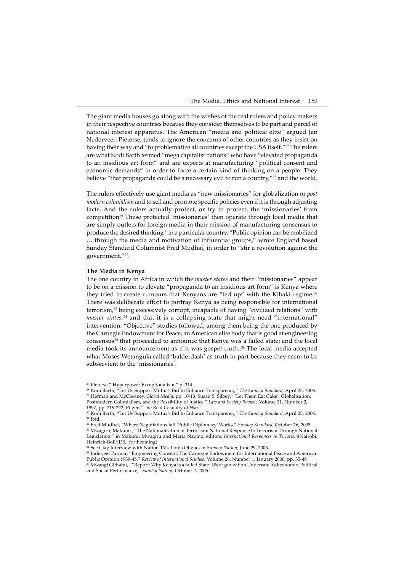The giant media houses go along with the wishes of the real rulers and policy makers in their respective countries because they consider themselves to be part and parcel of national interest apparatus. The American "media and political elite" argued Jan Nederveen Pieterse, tends to ignore the concerns of other countries as they insist on having their way and "to problematize all countries except the USA itself."27 The rulers are what Kodi Barth termed "mega capitalist nations" who have "elevated propaganda to an insidious art form" and are experts at manufacturing "political consent and economic demands" in order to force a certain kind of thinking on a people. They believe "that propaganda could be a necessary evil to run a country,"<sup>28</sup> and the world.

The rulers effectively use giant media as "new missionaries" for globalization or *post modern colonialism* and to sell and promote specific policies even if it is through adjusting facts. And the rulers actually protect, or try to protect, the 'missionaries' from competition29 These protected 'missionaries' then operate through local media that are simply outlets for foreign media in their mission of manufacturing consensus to produce the desired thinking<sup>30</sup> in a particular country. "Public opinion can be mobilized … through the media and motivation of influential groups," wrote England based Sunday Standard Columnist Fred Mudhai, in order to "stir a revolution against the government."31.

#### **The Media in Kenya**

The one country in Africa in which the *master states* and their "missionaries" appear to be on a mission to elevate "propaganda to an insidious art form" is Kenya where they tried to create rumours that Kenyans are "fed up" with the Kibaki regime.<sup>32</sup> There was deliberate effort to portray Kenya as being responsible for international terrorism,<sup>33</sup> being excessively corrupt, incapable of having "civilized relations" with *master states,*<sup>34</sup> and that it is a collapsing state that might need "international" intervention. "Objective" studies followed, among them being the one produced by the Carnegie Endowment for Peace, an American elite body that is good at engineering consensus<sup>35</sup> that proceeded to announce that Kenya was a failed state; and the local media took its announcement as if it was gospel truth..36 The local media accepted what Moses Wetangula called 'balderdash' as truth in part because they seem to be subservient to the 'missionaries'.

<sup>27</sup> Pieterse," Hyperpower Exceptionalism," p. 314.

<sup>28</sup> Kodi Barth, "Let Us Support Mutua's Bid to Enhance Transparency," *The Sunday Standard*, April 23, 2006. 29 Herman and McChesney, *Global Media*, pp. 10-13; Susan S. Silbey, "'Let Them Eat Cake': Globalisation,

Postmodern Colonialism, and the Possibility of Justice," *Law and Society Review,* Volume 31, Number 2,

<sup>1997,</sup> pp. 219-222; Pilger, "The Real Casualty of War."

<sup>30</sup> Kodi Barth, "Let Us Support Mutua's Bid to Enhance Transparency," *The Sunday Standard*, April 23, 2006. <sup>31</sup> Ibid.

<sup>32</sup> Fred Mudhai, "Where Negotiations fail 'Public Diplomacy' Works," *Sunday Standard,* October 26, 2005 <sup>33</sup> Mwagiru, Makumi , "The Nationalisation of Terrorism: National Response to Terrorism Through National Legislation," in Makumi Mwagiru and Maria Nzomo, editors, *International Responses to Terrorism*(Nairobi: Heinrich-Boll/IDS, forthcoming)

<sup>34</sup> See Clay Interview with Nation TV's Louis Otieno, in *Sunday Nation*, June 29, 2003.

<sup>35</sup> Inderjeet Parmar, "Engineering Consent: The Carnegie Endowment for International Peace and American Public Opinion 1939-45," *Review of International Studies*, Volume 26, Number 1, January 2000, pp. 35-48

<sup>36</sup> Mwangi Githahu, ""Report: Why Kenya is a failed State: US organization Underrate Its Economic, Political and Social Performance," *Sunday Nation*, October 2, 2005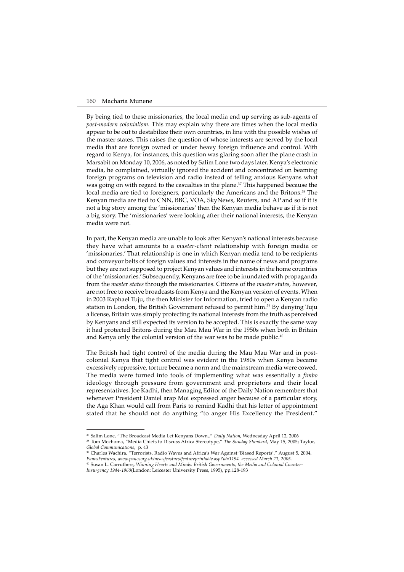By being tied to these missionaries, the local media end up serving as sub-agents of *post-modern colonialism.* This may explain why there are times when the local media appear to be out to destabilize their own countries, in line with the possible wishes of the master states. This raises the question of whose interests are served by the local media that are foreign owned or under heavy foreign influence and control. With regard to Kenya, for instances, this question was glaring soon after the plane crash in Marsabit on Monday 10, 2006, as noted by Salim Lone two days later. Kenya's electronic media, he complained, virtually ignored the accident and concentrated on beaming foreign programs on television and radio instead of telling anxious Kenyans what was going on with regard to the casualties in the plane.37 This happened because the local media are tied to foreigners, particularly the Americans and the Britons.<sup>38</sup> The Kenyan media are tied to CNN, BBC, VOA, SkyNews, Reuters, and AP and so if it is not a big story among the 'missionaries' then the Kenyan media behave as if it is not a big story. The 'missionaries' were looking after their national interests, the Kenyan media were not.

In part, the Kenyan media are unable to look after Kenyan's national interests because they have what amounts to a *master-client* relationship with foreign media or 'missionaries.' That relationship is one in which Kenyan media tend to be recipients and conveyor belts of foreign values and interests in the name of news and programs but they are not supposed to project Kenyan values and interests in the home countries of the 'missionaries.' Subsequently, Kenyans are free to be inundated with propaganda from the *master states* through the missionaries. Citizens of the *master states,* however, are not free to receive broadcasts from Kenya and the Kenyan version of events. When in 2003 Raphael Tuju, the then Minister for Information, tried to open a Kenyan radio station in London, the British Government refused to permit him.<sup>39</sup> By denying Tuju a license, Britain was simply protecting its national interests from the truth as perceived by Kenyans and still expected its version to be accepted. This is exactly the same way it had protected Britons during the Mau Mau War in the 1950s when both in Britain and Kenya only the colonial version of the war was to be made public.<sup>40</sup>

The British had tight control of the media during the Mau Mau War and in postcolonial Kenya that tight control was evident in the 1980s when Kenya became excessively repressive, torture became a norm and the mainstream media were cowed. The media were turned into tools of implementing what was essentially a *fimbo* ideology through pressure from government and proprietors and their local representatives. Joe Kadhi, then Managing Editor of the Daily Nation remembers that whenever President Daniel arap Moi expressed anger because of a particular story, the Aga Khan would call from Paris to remind Kadhi that his letter of appointment stated that he should not do anything "to anger His Excellency the President."

<sup>37</sup> Salim Lone, "The Broadcast Media Let Kenyans Down,." *Daily Nation*, Wednesday April 12, 2006

<sup>38</sup> Tom Mochoma, "Media Chiefs to Discuss Africa Stereotype," *The Sunday Standard*, May 15, 2005; Taylor, *Global Communications,* p. 43

<sup>&</sup>lt;sup>39</sup> Charles Wachira, "Terrorists, Radio Waves and Africa's War Against 'Biased Reports'," August 5, 2004, *PanosFeatures, www.panosorg.uk/newsfeastues/featureprintable.asp?id=1194 accessed March 21, 2005.*

<sup>40</sup> Susan L. Carruthers, *Winning Hearts and Minds: British Governments, the Media and Colonial Counter-Insurgency 1944-1960*(London: Leicester University Press, 1995), pp.128-193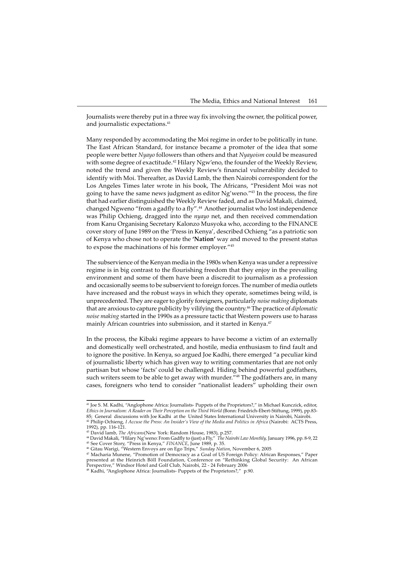Journalists were thereby put in a three way fix involving the owner, the political power, and journalistic expectations.<sup>41</sup>

Many responded by accommodating the Moi regime in order to be politically in tune. The East African Standard, for instance became a promoter of the idea that some people were better *Nyayo* followers than others and that *Nyayoism* could be measured with some degree of exactitude.<sup>42</sup> Hilary Ngw'eno, the founder of the Weekly Review, noted the trend and given the Weekly Review's financial vulnerability decided to identify with Moi. Thereafter, as David Lamb, the then Nairobi correspondent for the Los Angeles Times later wrote in his book, The Africans, "President Moi was not going to have the same news judgment as editor Ng'weno."43 In the process, the fire that had earlier distinguished the Weekly Review faded, and as David Makali, claimed, changed Ngweno "from a gadfly to a fly".<sup>44</sup> Another journalist who lost independence was Philip Ochieng, dragged into the *nyayo* net, and then received commendation from Kanu Organising Secretary Kalonzo Musyoka who, according to the FINANCE cover story of June 1989 on the 'Press in Kenya', described Ochieng "as a patriotic son of Kenya who chose not to operate the **'Nation'** way and moved to the present status to expose the machinations of his former employer."45

The subservience of the Kenyan media in the 1980s when Kenya was under a repressive regime is in big contrast to the flourishing freedom that they enjoy in the prevailing environment and some of them have been a discredit to journalism as a profession and occasionally seems to be subservient to foreign forces. The number of media outlets have increased and the robust ways in which they operate, sometimes being wild, is unprecedented. They are eager to glorify foreigners, particularly *noise making* diplomats that are anxious to capture publicity by vilifying the country.46 The practice of *diplomatic noise making* started in the 1990s as a pressure tactic that Western powers use to harass mainly African countries into submission, and it started in Kenya.47

In the process, the Kibaki regime appears to have become a victim of an externally and domestically well orchestrated, and hostile, media enthusiasm to find fault and to ignore the positive. In Kenya, so argued Joe Kadhi, there emerged "a peculiar kind of journalistic liberty which has given way to writing commentaries that are not only partisan but whose 'facts' could be challenged. Hiding behind powerful godfathers, such writers seem to be able to get away with murder.<sup>"48</sup> The godfathers are, in many cases, foreigners who tend to consider "nationalist leaders" upholding their own

<sup>41</sup> Joe S. M. Kadhi, "Anglophone Africa: Journalists- Puppets of the Proprietors?," in Michael Kunczick, editor, *Ethics in Journalism: A Reader on Their Perception on the Third World* (Bonn: Friedrich-Ebert-Stiftung, 1999), pp.83- 85; General discussions with Joe Kadhi at the United States International University in Nairobi, Nairobi.<br><sup>42</sup> Philip Ochieng, *I Accuse the Press: An Insider's View of the Media and Politics in Africa* (Nairobi: ACTS Pres

<sup>43</sup> David lamb, *The Africans*(New York: Random House, 1983), p.257.

<sup>&</sup>lt;sup>41</sup> David Makali, "Hilary Ng'weno: From Gadfly to (just) a Fly," *The Nairobi Law Monthly,* January 1996, pp. 8-9, 22<br><sup>45</sup> See Cover Story, "Press in Kenya," *FINANCE,* June 1989, p. 35.

<sup>46</sup> Gitau Warigi, "Western Envoys are on Ego Trips," *Sunday Nation*, November 6, 2005

<sup>47</sup> Macharia Munene, "Promotion of Democracy as a Goal of US Foreign Policy: African Responses," Paper<br>presented at the Heinrich Böll Foundation, Conference on "Rethinking Global Security: An African<br>Perspective," Windsor

<sup>48</sup> Kadhi, "Anglophone Africa: Journalists- Puppets of the Proprietors?," p.90.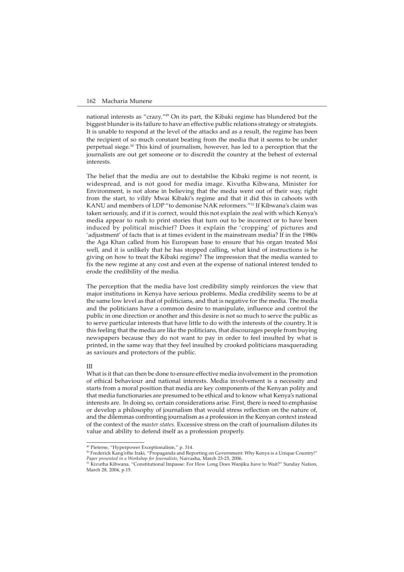national interests as "crazy."49 On its part, the Kibaki regime has blundered but the biggest blunder is its failure to have an effective public relations strategy or strategists. It is unable to respond at the level of the attacks and as a result, the regime has been the recipient of so much constant beating from the media that it seems to be under perpetual siege.50 This kind of journalism, however, has led to a perception that the journalists are out get someone or to discredit the country at the behest of external interests.

The belief that the media are out to destabilse the Kibaki regime is not recent, is widespread, and is not good for media image. Kivutha Kibwana, Minister for Environment, is not alone in believing that the media went out of their way, right from the start, to vilify Mwai Kibaki's regime and that it did this in cahoots with KANU and members of LDP "to demonise NAK reformers."51 If Kibwana's claim was taken seriously, and if it is correct, would this not explain the zeal with which Kenya's media appear to rush to print stories that turn out to be incorrect or to have been induced by political mischief? Does it explain the 'cropping' of pictures and 'adjustment' of facts that is at times evident in the mainstream media? If in the 1980s the Aga Khan called from his European base to ensure that his organ treated Moi well, and it is unlikely that he has stopped calling, what kind of instructions is he giving on how to treat the Kibaki regime? The impression that the media wanted to fix the new regime at any cost and even at the expense of national interest tended to erode the credibility of the media.

The perception that the media have lost credibility simply reinforces the view that major institutions in Kenya have serious problems. Media credibility seems to be at the same low level as that of politicians, and that is negative for the media. The media and the politicians have a common desire to manipulate, influence and control the public in one direction or another and this desire is not so much to serve the public as to serve particular interests that have little to do with the interests of the country. It is this feeling that the media are like the politicians, that discourages people from buying newspapers because they do not want to pay in order to feel insulted by what is printed, in the same way that they feel insulted by crooked politicians masquerading as saviours and protectors of the public.

#### III

What is it that can then be done to ensure effective media involvement in the promotion of ethical behaviour and national interests. Media involvement is a necessity and starts from a moral position that media are key components of the Kenyan polity and that media functionaries are presumed to be ethical and to know what Kenya's national interests are. In doing so, certain considerations arise. First, there is need to emphasise or develop a philosophy of journalism that would stress reflection on the nature of, and the dilemmas confronting journalism as a profession in the Kenyan context instead of the context of the *master states.* Excessive stress on the craft of journalism dilutes its value and ability to defend itself as a profession properly.

<sup>49</sup> Pieterse, "Hyperpower Exceptionalism," p. 314. 50 Frederick Kang'ethe Iraki, "Propaganda and Reporting on Government: Why Kenya is a Unique Country!" *Paper presented in a Workshop for Journalists,* Naivasha, March 23-25, 2006.

<sup>51</sup> Kivutha Kibwana, "Constitutional Impasse: For How Long Does Wanjiku have to Wait?" Sunday Nation, March 28, 2004, p.15.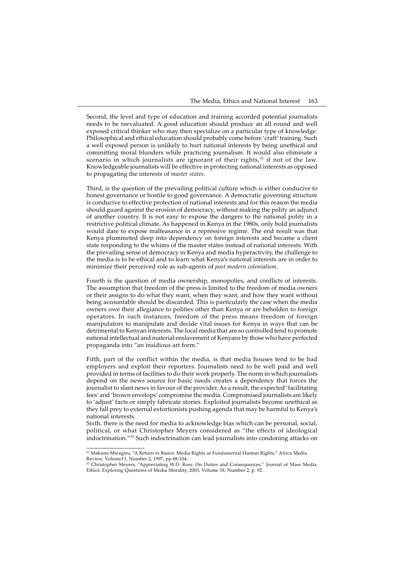Second, the level and type of education and training accorded potential journalists needs to be reevaluated. A good education should produce an all round and well exposed critical thinker who may then specialize on a particular type of knowledge. Philosophical and ethical education should probably come before 'craft' training. Such a well exposed person is unlikely to hurt national interests by being unethical and committing moral blunders while practicing journalism. It would also eliminate a scenario in which journalists are ignorant of their rights, $52$  if not of the law. Knowledgeable journalists will be effective in protecting national interests as opposed to propagating the interests of *master states.*

Third, is the question of the prevailing political culture which is either conducive to honest governance or hostile to good governance. A democratic governing structure is conducive to effective protection of national interests and for this reason the media should guard against the erosion of democracy, without making the polity an adjunct of another country. It is not easy to expose the dangers to the national polity in a restrictive political climate. As happened in Kenya in the 1980s, only bold journalists would dare to expose malfeasance in a repressive regime. The end result was that Kenya plummeted deep into dependency on foreign interests and became a client state responding to the whims of the master states instead of national interests. With the prevailing sense of democracy in Kenya and media hyperactivity, the challenge to the media is to be ethical and to learn what Kenya's national interests are in order to minimize their perceived role as sub-agents of *post modern colonialism*.

Fourth is the question of media ownership, monopolies, and conflicts of interests. The assumption that freedom of the press is limited to the freedom of media owners or their assigns to do what they want, when they want, and how they want without being accountable should be discarded. This is particularly the case when the media owners owe their allegiance to polities other than Kenya or are beholden to foreign operators. In such instances, freedom of the press means freedom of foreign manipulators to manipulate and decide vital issues for Kenya in ways that can be detrimental to Kenyan interests. The local media that are so controlled tend to promote national intellectual and material enslavement of Kenyans by those who have perfected propaganda into "an insidious art form."

Fifth, part of the conflict within the media, is that media houses tend to be bad employers and exploit their reporters. Journalists need to be well paid and well provided in terms of facilities to do their work properly. The norm in which journalists depend on the news source for basic needs creates a dependency that forces the journalist to slant news in favour of the provider. As a result, the expected 'facilitating fees' and 'brown envelops' compromise the media. Compromised journalists are likely to 'adjust' facts or simply fabricate stories. Exploited journalists become unethical as they fall prey to external extortionists pushing agenda that may be harmful to Kenya's national interests.

Sixth, there is the need for media to acknowledge bias which can be personal, social, political, or what Christopher Meyers considered as "the effects of ideological indoctrination."53 Such indoctrination can lead journalists into condoning attacks on

 $^{\rm 52}$  Makumi Mwagiru, "A Return to Basics: Media Rights as Fundamental Human Rights," Africa Media Review, Volume11, Number 2, 1997, pp.88-104.

<sup>53</sup> Christopher Meyers, "Appreciating W.D. Ross: On Duties and Consequences," Journal of Mass Media Ethics: Exploring Questions of Media Morality, 2003, Volume 18, Number 2, p. 92.